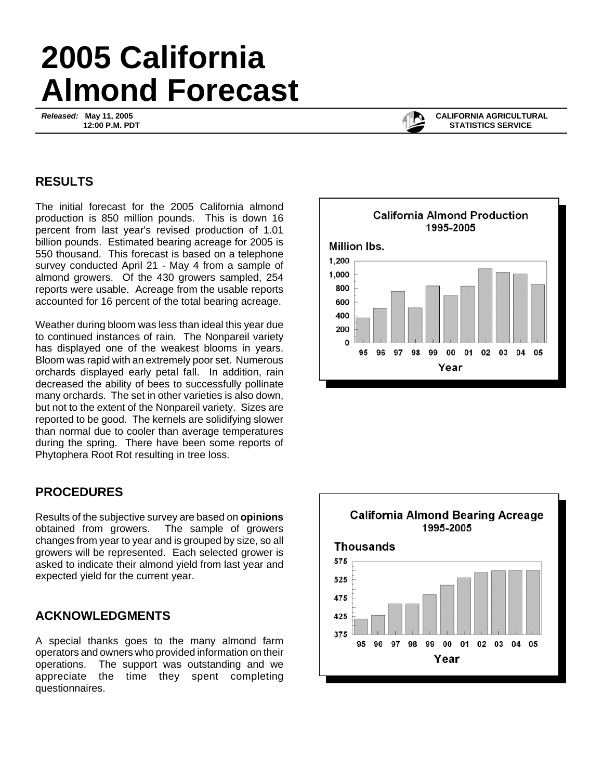# **2005 California Almond Forecast**

*Released:* **May 11, 2005 12:00 P.M. PDT**



 **CALIFORNIA AGRICULTURAL STATISTICS SERVICE**

## **RESULTS**

The initial forecast for the 2005 California almond production is 850 million pounds. This is down 16 percent from last year's revised production of 1.01 billion pounds. Estimated bearing acreage for 2005 is 550 thousand. This forecast is based on a telephone survey conducted April 21 - May 4 from a sample of almond growers. Of the 430 growers sampled, 254 reports were usable. Acreage from the usable reports accounted for 16 percent of the total bearing acreage.

Weather during bloom was less than ideal this year due to continued instances of rain. The Nonpareil variety has displayed one of the weakest blooms in years. Bloom was rapid with an extremely poor set. Numerous orchards displayed early petal fall. In addition, rain decreased the ability of bees to successfully pollinate many orchards. The set in other varieties is also down, but not to the extent of the Nonpareil variety. Sizes are reported to be good. The kernels are solidifying slower than normal due to cooler than average temperatures during the spring. There have been some reports of Phytophera Root Rot resulting in tree loss.

### **PROCEDURES**

Results of the subjective survey are based on **opinions** obtained from growers. The sample of growers changes from year to year and is grouped by size, so all growers will be represented. Each selected grower is asked to indicate their almond yield from last year and expected yield for the current year.

### **ACKNOWLEDGMENTS**

A special thanks goes to the many almond farm operators and owners who provided information on their operations. The support was outstanding and we appreciate the time they spent completing questionnaires.